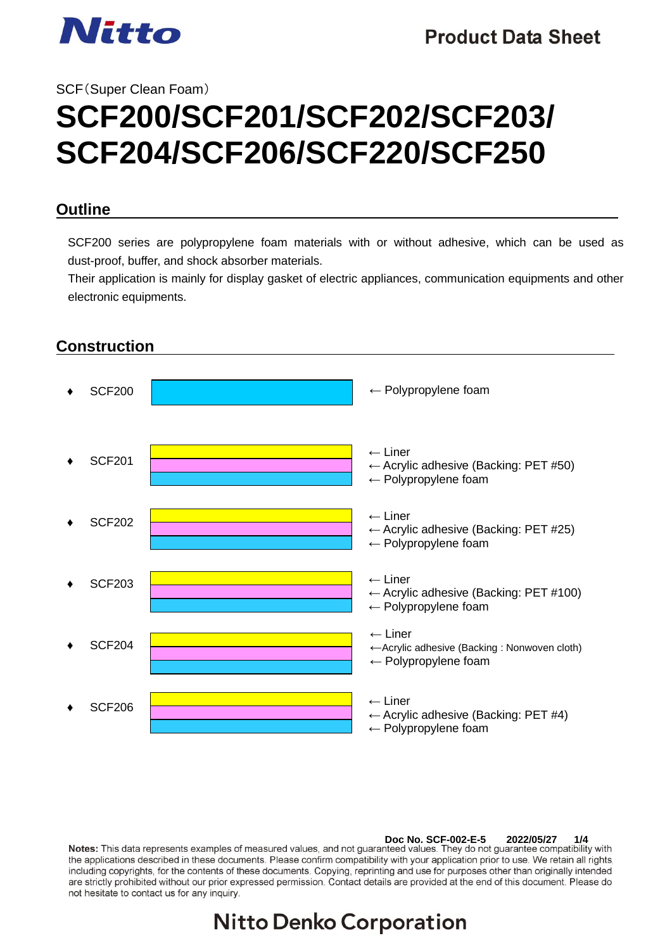

# SCF(Super Clean Foam) **SCF200/SCF201/SCF202/SCF203/ SCF204/SCF206/SCF220/SCF250**

#### **Outline**

SCF200 series are polypropylene foam materials with or without adhesive, which can be used as dust-proof, buffer, and shock absorber materials.

Their application is mainly for display gasket of electric appliances, communication equipments and other electronic equipments.



**Doc No. SCF-002-E-5 2022/05/27 1/4** the applications described in these documents. Please confirm compatibility with your application prior to use. We retain all rights, including copyrights, for the contents of these documents. Copying, reprinting and use for purposes other than originally intended are strictly prohibited without our prior expressed permission. Contact details are provided at the end of this document. Please do not hesitate to contact us for any inquiry.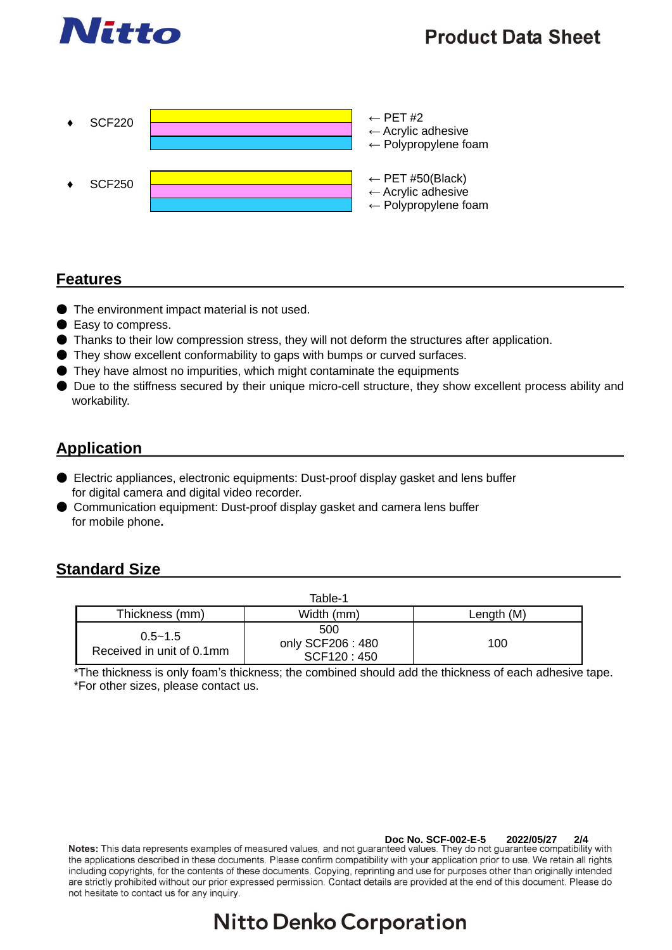

## **Product Data Sheet**



#### **Features**

- The environment impact material is not used.
- Easy to compress.
- Thanks to their low compression stress, they will not deform the structures after application.
- They show excellent conformability to gaps with bumps or curved surfaces.
- They have almost no impurities, which might contaminate the equipments
- Due to the stiffness secured by their unique micro-cell structure, they show excellent process ability and workability.

## **Application**

- Electric appliances, electronic equipments: Dust-proof display gasket and lens buffer for digital camera and digital video recorder.
- Communication equipment: Dust-proof display gasket and camera lens buffer for mobile phone**.**

#### **Standard Size**

| Table-1                                  |                                       |            |  |  |  |
|------------------------------------------|---------------------------------------|------------|--|--|--|
| Thickness (mm)                           | Width (mm)                            | Length (M) |  |  |  |
| $0.5 - 1.5$<br>Received in unit of 0.1mm | 500<br>only SCF206: 480<br>SCF120:450 | 100        |  |  |  |

\*The thickness is only foam's thickness; the combined should add the thickness of each adhesive tape. \*For other sizes, please contact us.

**Doc No. SCF-002-E-5 2022/05/27 2/4** the applications described in these documents. Please confirm compatibility with your application prior to use. We retain all rights, including copyrights, for the contents of these documents. Copying, reprinting and use for purposes other than originally intended are strictly prohibited without our prior expressed permission. Contact details are provided at the end of this document. Please do not hesitate to contact us for any inquiry.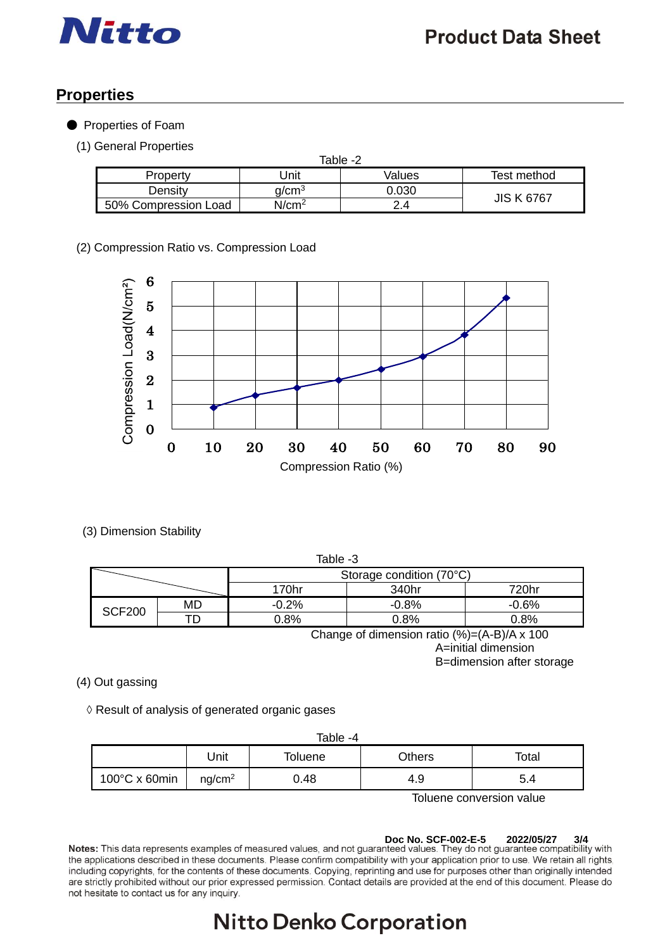

## **Properties**

● Properties of Foam

(1) General Properties

| Table -2             |                   |        |                   |  |  |  |
|----------------------|-------------------|--------|-------------------|--|--|--|
| Property             | Jnit              | Values | Test method       |  |  |  |
| Densitv              | a/cm $^3$         |        | <b>JIS K 6767</b> |  |  |  |
| 50% Compression Load | N/cm <sup>2</sup> | 24     |                   |  |  |  |

(2) Compression Ratio vs. Compression Load



(3) Dimension Stability

| Table -3                                                                             |    |         |         |         |  |
|--------------------------------------------------------------------------------------|----|---------|---------|---------|--|
| Storage condition (70°C)                                                             |    |         |         |         |  |
|                                                                                      |    | 170hr   | 340hr   | 720hr   |  |
| <b>SCF200</b>                                                                        | MD | $-0.2%$ | $-0.8%$ | $-0.6%$ |  |
|                                                                                      |    | 0.8%    | 0.8%    | 0.8%    |  |
| $\Omega$ (Fig. 1) $\Omega$ (A) $\Omega$ $\Omega$ $\Omega$ $\Omega$ $\Omega$ $\Omega$ |    |         |         |         |  |

Change of dimension ratio (%)=(A-B)/A x 100 A=initial dimension B=dimension after storage

(4) Out gassing

◊ Result of analysis of generated organic gases

| Table -4                |                    |                            |     |     |  |
|-------------------------|--------------------|----------------------------|-----|-----|--|
|                         | Jnit               | Others<br>Total<br>Toluene |     |     |  |
| $100^{\circ}$ C x 60min | nq/cm <sup>2</sup> | 0.48                       | 4.9 | 5.4 |  |

Toluene conversion value

**Doc No. SCF-002-E-5 2022/05/27 3/4** the applications described in these documents. Please confirm compatibility with your application prior to use. We retain all rights, including copyrights, for the contents of these documents. Copying, reprinting and use for purposes other than originally intended are strictly prohibited without our prior expressed permission. Contact details are provided at the end of this document. Please do not hesitate to contact us for any inquiry.